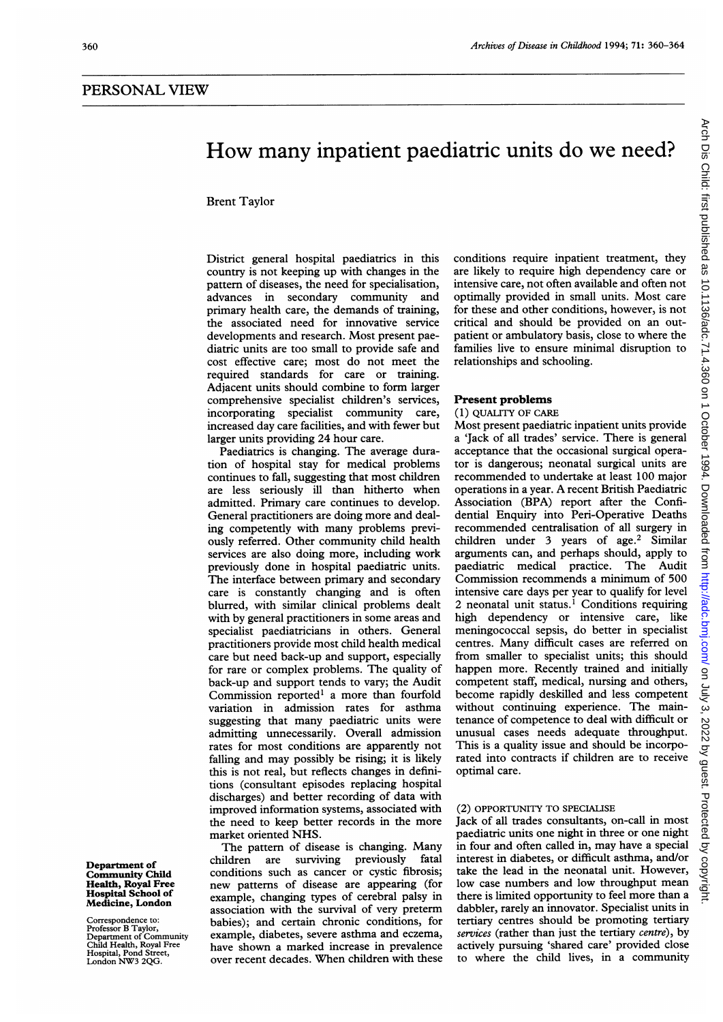# How many inpatient paediatric units do we need?

Brent Taylor

District general hospital paediatrics in this country is not keeping up with changes in the pattern of diseases, the need for specialisation, advances in secondary community and primary health care, the demands of training, the associated need for innovative service developments and research. Most present paediatric units are too small to provide safe and cost effective care; most do not meet the required standards for care or training. Adjacent units should combine to form larger comprehensive specialist children's services, incorporating specialist community care, increased day care facilities, and with fewer but larger units providing 24 hour care.

Paediatrics is changing. The average duration of hospital stay for medical problems continues to fall, suggesting that most children are less seriously ill than hitherto when admitted. Primary care continues to develop. General practitioners are doing more and dealing competently with many problems previously referred. Other community child health services are also doing more, including work previously done in hospital paediatric units. The interface between primary and secondary care is constantly changing and is often blurred, with similar clinical problems dealt with by general practitioners in some areas and specialist paediatricians in others. General practitioners provide most child health medical care but need back-up and support, especially for rare or complex problems. The quality of back-up and support tends to vary; the Audit Commission reported' <sup>a</sup> more than fourfold variation in admission rates for asthma suggesting that many paediatric units were admitting unnecessarily. Overall admission rates for most conditions are apparently not falling and may possibly be rising; it is likely this is not real, but reflects changes in definitions (consultant episodes replacing hospital discharges) and better recording of data with improved information systems, associated with the need to keep better records in the more market oriented NHS.

The pattern of disease is changing. Many children are surviving previously fatal conditions such as cancer or cystic fibrosis; new patterns of disease are appearing (for example, changing types of cerebral palsy in association with the survival of very preterm babies); and certain chronic conditions, for example, diabetes, severe asthma and eczema, have shown a marked increase in prevalence over recent decades. When children with these conditions require inpatient treatment, they are likely to require high dependency care or intensive care, not often available and often not optimally provided in small units. Most care for these and other conditions, however, is not critical and should be provided on an outpatient or ambulatory basis, close to where the families live to ensure minimal disruption to relationships and schooling.

## Present problems

## (1) QUALITY OF CARE

Most present paediatric inpatient units provide a 'Jack of all trades' service. There is general acceptance that the occasional surgical operator is dangerous; neonatal surgical units are recommended to undertake at least 100 major operations in <sup>a</sup> year. A recent British Paediatric Association (BPA) report after the Confidential Enquiry into Peri-Operative Deaths recommended centralisation of all surgery in children under 3 years of age.<sup>2</sup> Similar arguments can, and perhaps should, apply to paediatric medical practice. The Audit Commission recommends a minimum of 500 intensive care days per year to qualify for level 2 neonatal unit status.<sup>1</sup> Conditions requiring high dependency or intensive care, like meningococcal sepsis, do better in specialist centres. Many difficult cases are referred on from smaller to specialist units; this should happen more. Recently trained and initially competent staff, medical, nursing and others, become rapidly deskilled and less competent without continuing experience. The maintenance of competence to deal with difficult or unusual cases needs adequate throughput. This is a quality issue and should be incorporated into contracts if children are to receive optimal care.

## (2) OPPORTUNITY TO SPECIALISE

Jack of all trades consultants, on-call in most paediatric units one night in three or one night in four and often called in, may have <sup>a</sup> special interest in diabetes, or difficult asthma, and/or take the lead in the neonatal unit. However, low case numbers and low throughput mean there is limited opportunity to feel more than a dabbler, rarely an innovator. Specialist units in tertiary centres should be promoting tertiary services (rather than just the tertiary centre), by actively pursuing 'shared care' provided close to where the child lives, in a community

Department of Community Child Health, Royal Free Hospital School of Medicine, London

Correspondence to: Professor B Taylor, Department of Community Child Health, Royal Free Hospital, Pond Street, London NW3 2QG.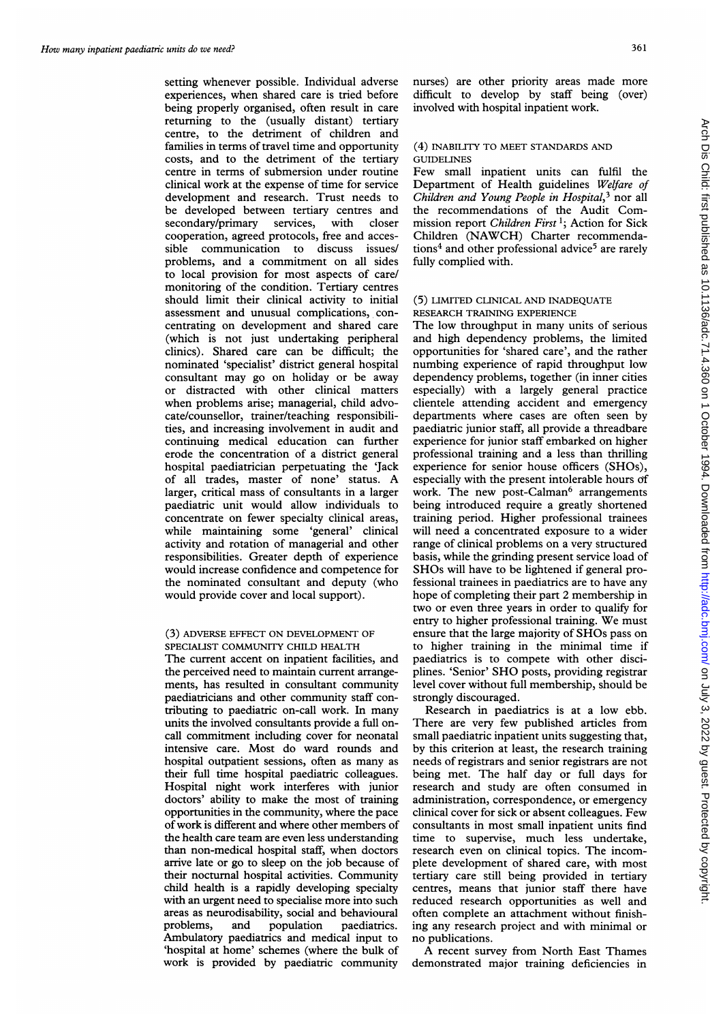setting whenever possible. Individual adverse experiences, when shared care is tried before being properly organised, often result in care returning to the (usually distant) tertiary centre, to the detriment of children and families in terms of travel time and opportunity costs, and to the detriment of the tertiary centre in terms of submersion under routine clinical work at the expense of time for service development and research. Trust needs to be developed between tertiary centres and secondary/primary services, with closer cooperation, agreed protocols, free and accessible communication to discuss issues/ problems, and a commitment on all sides to local provision for most aspects of care/ monitoring of the condition. Tertiary centres should limit their clinical activity to initial assessment and unusual complications, concentrating on development and shared care (which is not just undertaking peripheral clinics). Shared care can be difficult; the nominated 'specialist' district general hospital consultant may go on holiday or be away or distracted with other clinical matters when problems arise; managerial, child advocate/counsellor, trainer/teaching responsibilities, and increasing involvement in audit and continuing medical education can further erode the concentration of a district general hospital paediatrician perpetuating the 'Jack of all trades, master of none' status. A larger, critical mass of consultants in a larger paediatric unit would allow individuals to concentrate on fewer specialty clinical areas, while maintaining some 'general' clinical activity and rotation of managerial and other responsibilities. Greater depth of experience would increase confidence and competence for the nominated consultant and deputy (who would provide cover and local support).

## (3) ADVERSE EFFECT ON DEVELOPMENT OF SPECIALIST COMMUNITY CHILD HEALTH

The current accent on inpatient facilities, and the perceived need to maintain current arrangements, has resulted in consultant community paediatricians and other community staff contributing to paediatric on-call work. In many units the involved consultants provide a full oncall commitment including cover for neonatal intensive care. Most do ward rounds and hospital outpatient sessions, often as many as their full time hospital paediatric colleagues. Hospital night work interferes with junior doctors' ability to make the most of training opportunities in the community, where the pace of work is different and where other members of the health care team are even less understanding than non-medical hospital staff, when doctors arrive late or go to sleep on the job because of their nocturnal hospital activities. Community child health is a rapidly developing specialty with an urgent need to specialise more into such areas as neurodisability, social and behavioural problems, and population paediatrics. Ambulatory paediatrics and medical input to 'hospital at home' schemes (where the bulk of work is provided by paediatric community

nurses) are other priority areas made more difficult to develop by staff being (over) involved with hospital inpatient work.

## (4) INABILITY TO MEET STANDARDS AND GUIDELINES

Few small inpatient units can fulfil the Department of Health guidelines Welfare of Children and Young People in Hospital,<sup>3</sup> nor all the recommendations of the Audit Commission report Children First<sup>1</sup>; Action for Sick Children (NAWCH) Charter recommendations<sup>4</sup> and other professional advice<sup>5</sup> are rarely fully complied with.

## (5) LIMITED CLINICAL AND INADEQUATE RESEARCH TRAINING EXPERIENCE

The low throughput in many units of serious and high dependency problems, the limited opportunities for 'shared care', and the rather numbing experience of rapid throughput low dependency problems, together (in inner cities especially) with a largely general practice clientele attending accident and emergency departments where cases are often seen by paediatric junior staff, all provide a threadbare experience for junior staff embarked on higher professional training and a less than thrilling experience for senior house officers (SHOs), especially with the present intolerable hours of work. The new post-Calman<sup>6</sup> arrangements being introduced require a greatly shortened training period. Higher professional trainees will need a concentrated exposure to a wider range of clinical problems on a very structured basis, while the grinding present service load of SHOs will have to be lightened if general professional trainees in paediatrics are to have any hope of completing their part 2 membership in two or even three years in order to qualify for entry to higher professional training. We must ensure that the large majority of SHOs pass on to higher training in the minimal time if paediatrics is to compete with other disciplines. 'Senior' SHO posts, providing registrar level cover without full membership, should be strongly discouraged.

Research in paediatrics is at a low ebb. There are very few published articles from small paediatric inpatient units suggesting that, by this criterion at least, the research training needs of registrars and senior registrars are not being met. The half day or full days for research and study are often consumed in administration, correspondence, or emergency clinical cover for sick or absent colleagues. Few consultants in most small inpatient units find time to supervise, much less undertake, research even on clinical topics. The incomplete development of shared care, with most tertiary care still being provided in tertiary centres, means that junior staff there have reduced research opportunities as well and often complete an attachment without finishing any research project and with minimal or no publications.

A recent survey from North East Thames demonstrated major training deficiencies in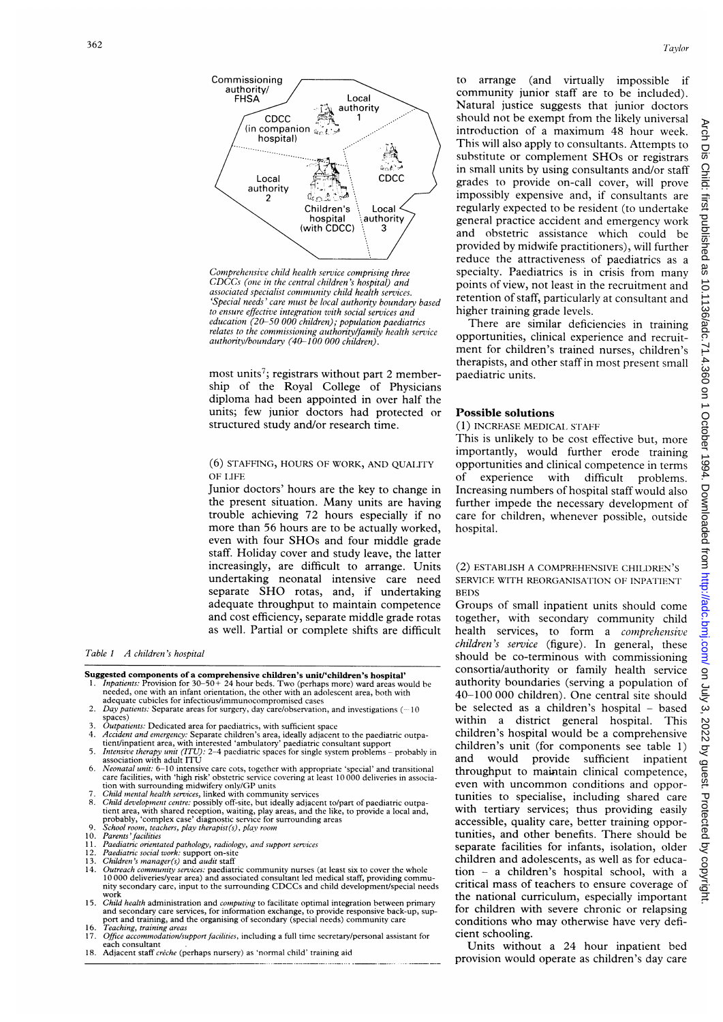

Comprehensive child health service comprising three  $CDCCs$  (one in the central children's hospital) and associated specialist community child health services. 'Special needs' care must be local authority boundary based to ensure effective integration zvith social services and education (20-50 000 children); population paediatrics relates to the commissioning authority/family health service authority/boundary (40-100 000 children).

most units<sup>7</sup>; registrars without part 2 membership of the Royal College of Physicians diploma had been appointed in over half the units; few junior doctors had protected or structured study and/or research time.

## (6) STAFFING, HOURS OF WORK, AND QUAIITY OF LIFE

Junior doctors' hours are the key to change in the present situation. Many units are having trouble achieving 72 hours especially if no more than 56 hours are to be actually worked, even with four SHOs and four middle grade staff. Holiday cover and study leave, the latter increasingly, are difficult to arrange. Units undertaking neonatal intensive care need separate SHO rotas, and, if undertaking adequate throughput to maintain competence and cost efficiency, separate middle grade rotas as well. Partial or complete shifts are difficult

Table <sup>I</sup> A children's hospital

Suggested components of a comprehensive children's unit/'children's hospital'

- 1. *Inpatients:* Provision for  $30-50+24$  hour beds. Two (perhaps more) ward areas would be needed, one with an infant orientation, the other with an adolescent area, both with adequate cubicles for infectious/immunocompromised cases
- 2. Day patients: Separate areas for surgery, day care/observation, and investigations  $(-10$ spaces)
- 3. Outpatients: Dedicated area for paediatrics, with sufficient space<br>4. Accident and emergency: Separate children's area, ideally adjacen
- 4. *Accident and emergency:* Separate children's area, ideally adjacent to the paediatric outpa-<br>tient/inpatient area, with interested 'ambulatory' paediatric consultant support
- 5. *Intensive therapy unit (ITU):* 2–4 paediatric spaces for single system problems probably in association with adult ITU
- 6. Neonatal unit: 6-10 intensive care cots, together with appropriate 'special' and transitional care facilities, with 'high risk' obstetric service covering at least 10 000 deliveries in association with surrounding midwifery only/GP units<br>7. *Child mental health services*, linked with community services
- 
- 8. *Child development centre:* possibly off-site, but ideally adjacent to/part of pacdiatric outpatient area, with shared reception, waiting, play areas, and the like, to provide a local and, probably, 'complex case' diag
- 10. Parents' facilities
- 11. Paediatnrc orientated pathology, radiology, and support services
- 
- 12. *Paediatric social work:* support on-site<br>13. C*hildren's manager(s) and audit s*taff
- 14. *Outreach community services:* paediatric community nurses (at least six to cover the whole<br>10000 deliveries/year area) and associated consultant led medical staff, providing commu-<br>nity secondary care, input to the su
- work<br>15. *Child health* administration and *computing* to facilitate optimal integration between primary and secondary care services, for information exchange, to provide responsive back-up, support and training, and the organising of secondary (special needs) community care<br>16. *Teaching, training areas*
- 17. Office accommodation/support facilities, including a full time secretary/personal assistant for
- each consultant 18. Adjacent staff crêche (perhaps nursery) as 'normal child' training aid

to arrange (and virtually impossible if community junior staff are to be included). Natural justice suggests that junior doctors should not be exempt from the likely universal introduction of <sup>a</sup> maximum 48 hour week. This will also apply to consultants. Attempts to substitute or complement SHOs or registrars in small units by using consultants and/or staff grades to provide on-call cover, will prove impossibly expensive and, if consultants are regularly expected to be resident (to undertake general practice accident and emergency work and obstetric assistance which could be provided by midwife practitioners), will further reduce the attractiveness of paediatrics as a specialty. Paediatrics is in crisis from many points of view, not least in the recruitment and retention of staff, particularly at consultant and higher training grade levels.

There are similar deficiencies in training opportunities, clinical experience and recruitment for children's trained nurses, children's therapists, and other staff in most present small paediatric units.

## Possible solutions

### (1) INCREASE MEDICAL STAFF

This is unlikely to be cost effective but, more importantly, would further erode training opportunities and clinical competence in terms of experience with difficult problems. Increasing numbers of hospital staff would also further impede the necessary development of care for children, whenever possible, outside hospital.

## (2) ESTABLISH A COMPREHENSIVE CHILDREN'S SERVICE WITH REORGANISATION OF INPATIENT BEDS

Groups of small inpatient units should come together, with secondary community child health services, to form a comprehensive children's service (figure). In general, these should be co-terminous with commissioning consortia/authority or family health service authority boundaries (serving a population of 40-100 000 children). One central site should be selected as a children's hospital - based within a district general hospital. This children's hospital would be <sup>a</sup> comprehensive children's unit (for components see table 1) and would provide sufficient inpatient throughput to maintain clinical competence, even with uncommon conditions and opportunities to specialise, including shared care with tertiary services; thus providing easily accessible, quality care, better training opportunities, and other benefits. There should be separate facilities for infants, isolation, older children and adolescents, as well as for education - <sup>a</sup> children's hospital school, with <sup>a</sup> critical mass of teachers to ensure coverage of the national curriculum, especially important for children with severe chronic or relapsing conditions who may otherwise have very deficient schooling.

Units without a 24 hour inpatient bed provision would operate as children's day care **Arch** 

n Dis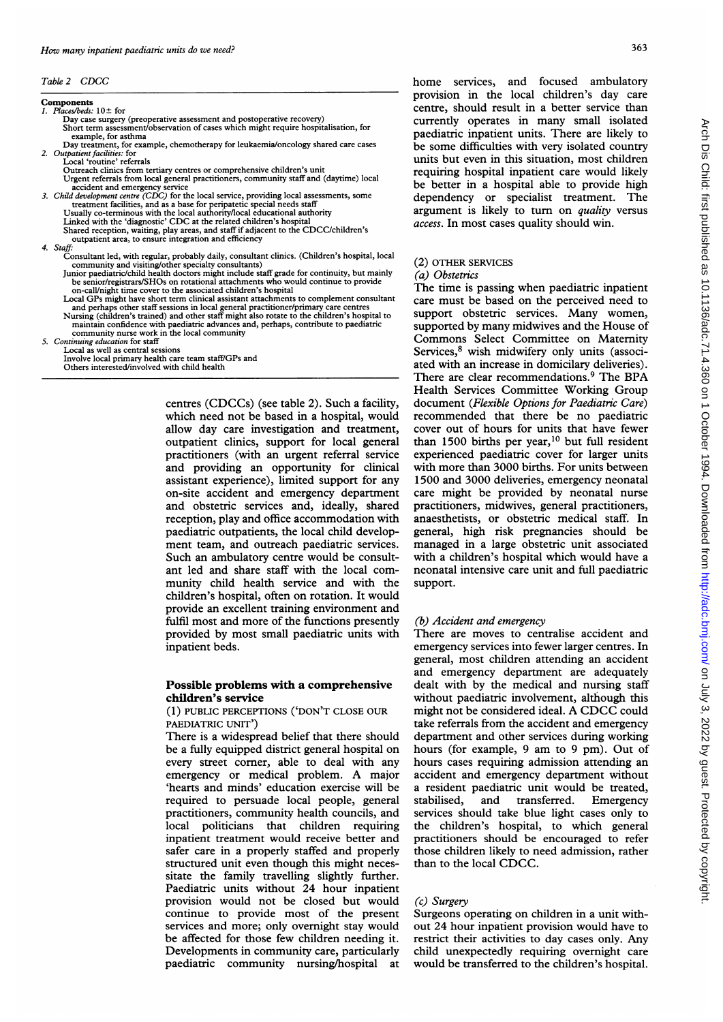Table <sup>2</sup> CDCC

#### Components 1. Places/beds: 10+ for

- Day case surgery (preoperative assessment and postoperative recovery)
- Short term assessment/observation of cases which might require hospitalisation, for example, for asthma
- Day treatment, for example, chemotherapy for leukaemia/oncology shared care cases 2. Outpatient facilities: for
	- Local 'routine' referrals Outreach clinics from tertiary centres or comprehensive children's unit Urgent referrals from local general practitioners, community staff and (daytime) local
- accident and emergency service<br>3. *Child development centre (CDC)* for the local service, providing local assessments, some
	- treatment facilities, and as a base for peripatetic special needs staff<br>Usually co-terminous with the local authority/local educational authority<br>Linked with the 'diagnostic' CDC at the related children's hospital
	-
	- Shared reception, waiting, play areas, and staff if adjacent to the CDCC/children's outpatient area, to ensure integration and efficiency
	-
- 
- 4. Staff: Consultant led, with regular, probably daily, consultant clinics. (Children's hospital, local community and visiting/other specialty consultants) Junior paediatric/child health doctors might include staff grade for continuity, but mainly
	- be senior/registrars/SHOs on rotational attachments who would continue to provide on-call/night time cover to the associated children's hospital
	- Local GPs might have short term clinical assistant attachments to complement consultant and perhaps other staff sessions in local general practitioner/primary care centres<br>Nursing (children's trained) and other staff might also rotate to the children's hospital to<br>maintain confidence with paediatric advances
- community nurse work in the local community 5. Continuing education for staff
- - Local as well as central sessions Involve local primary health care team staff/GPs and Others interested/involved with child health

centres (CDCCs) (see table 2). Such a facility, which need not be based in a hospital, would allow day care investigation and treatment, outpatient clinics, support for local general practitioners (with an urgent referral service and providing an opportunity for clinical assistant experience), limited support for any on-site accident and emergency department and obstetric services and, ideally, shared reception, play and office accommodation with paediatric outpatients, the local child development team, and outreach paediatric services. Such an ambulatory centre would be consultant led and share staff with the local community child health service and with the children's hospital, often on rotation. It would provide an excellent training environment and fulfil most and more of the functions presently provided by most small paediatric units with inpatient beds.

## Possible problems with a comprehensive children's service

(1) PUBLIC PERCEPTIONS ('DON'T CLOSE OUR PAEDIATRIC UNIT')

There is a widespread belief that there should be a fully equipped district general hospital on every street corner, able to deal with any emergency or medical problem. A major 'hearts and minds' education exercise will be required to persuade local people, general practitioners, community health councils, and local politicians that children requiring inpatient treatment would receive better and safer care in a properly staffed and properly structured unit even though this might necessitate the family travelling slightly further. Paediatric units without 24 hour inpatient provision would not be closed but would continue to provide most of the present services and more; only overnight stay would be affected for those few children needing it. Developments in community care, particularly paediatric community nursing/hospital at

home services, and focused ambulatory provision in the local children's day care centre, should result in a better service than currently operates in many small isolated paediatric inpatient units. There are likely to be some difficulties with very isolated country units but even in this situation, most children requiring hospital inpatient care would likely be better in a hospital able to provide high dependency or specialist treatment. The argument is likely to turn on *quality* versus access. In most cases quality should win.

## (2) OTHER SERVICES

#### (a) Obstetrics

The time is passing when paediatric inpatient care must be based on the perceived need to support obstetric services. Many women, supported by many midwives and the House of Commons Select Committee on Maternity Services,<sup>8</sup> wish midwifery only units (associated with an increase in domicilary deliveries). There are clear recommendations.<sup>9</sup> The BPA Health Services Committee Working Group document (Flexible Options for Paediatric Care) recommended that there be no paediatric cover out of hours for units that have fewer than 1500 births per year,<sup>10</sup> but full resident experienced paediatric cover for larger units with more than 3000 births. For units between 1500 and 3000 deliveries, emergency neonatal care might be provided by neonatal nurse practitioners, midwives, general practitioners, anaesthetists, or obstetric medical staff. In general, high risk pregnancies should be managed in a large obstetric unit associated with a children's hospital which would have a neonatal intensive care unit and full paediatric support.

## (b) Accident and emergency

There are moves to centralise accident and emergency services into fewer larger centres. In general, most children attending an accident and emergency department are adequately dealt with by the medical and nursing staff without paediatric involvement, although this might not be considered ideal. A CDCC could take referrals from the accident and emergency department and other services during working hours (for example, <sup>9</sup> am to <sup>9</sup> pm). Out of hours cases requiring admission attending an accident and emergency department without a resident paediatric unit would be treated, stabilised, and transferred. Emergency services should take blue light cases only to the children's hospital, to which general practitioners should be encouraged to refer those children likely to need admission, rather than to the local CDCC.

## (c) Surgery

Surgeons operating on children in a unit without 24 hour inpatient provision would have to restrict their activities to day cases only. Any child unexpectedly requiring overnight care would be transferred to the children's hospital.